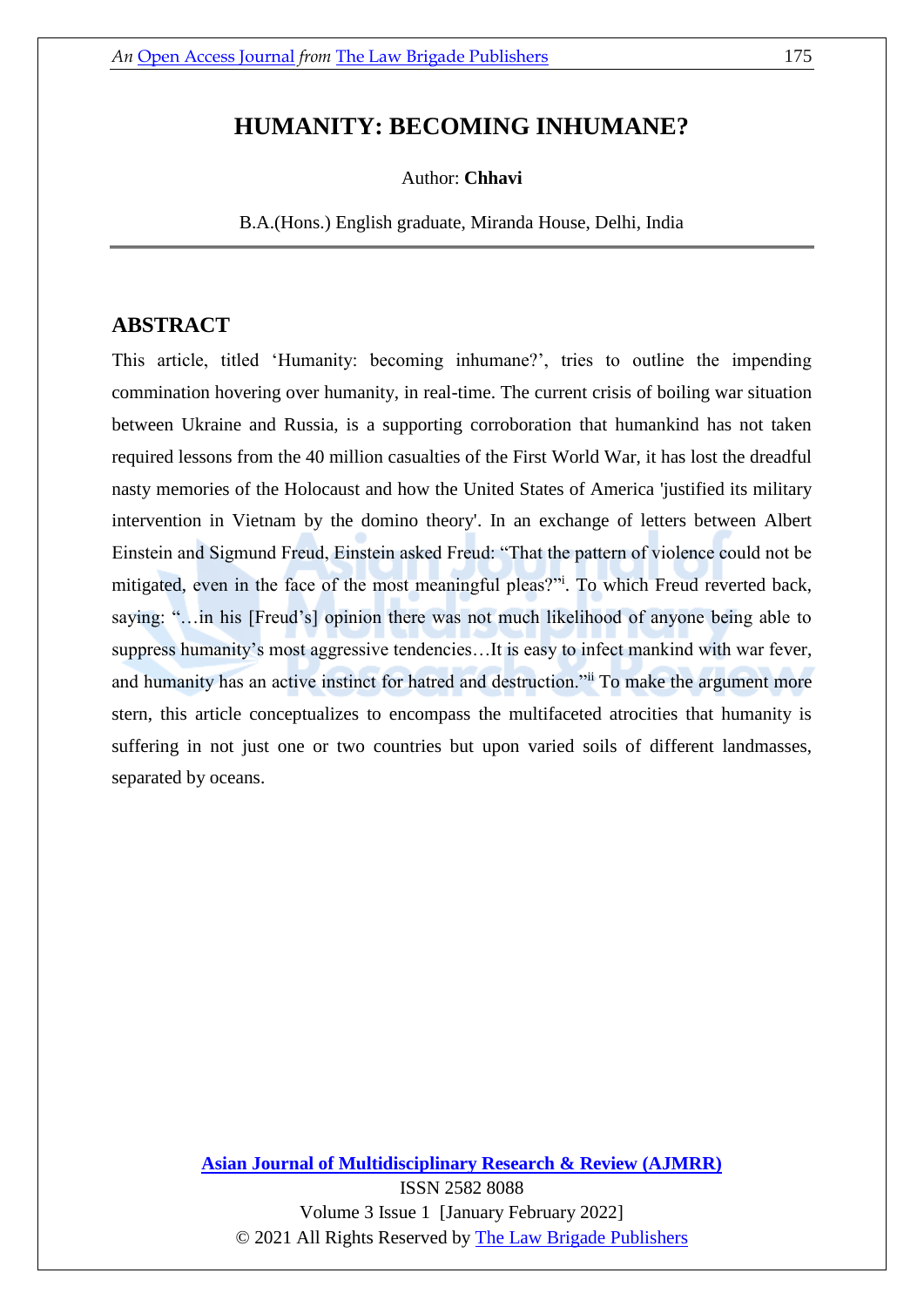# **HUMANITY: BECOMING INHUMANE?**

Author: **Chhavi**

B.A.(Hons.) English graduate, Miranda House, Delhi, India

# **ABSTRACT**

This article, titled 'Humanity: becoming inhumane?', tries to outline the impending commination hovering over [humanity,](https://dictionary.cambridge.org/dictionary/english/humanity) in real-time. The current crisis of boiling war situation between Ukraine and Russia, is a supporting corroboration that humankind has not taken required lessons from the 40 million casualties [of the First World War,](http://www.centre-robert-schuman.org/userfiles/files/REPERES%20%E2%80%93%20module%201-1-1%20-%20explanatory%20notes%20%E2%80%93%20World%20War%20I%20casualties%20%E2%80%93%20EN.pdf) it has lost the dreadful nasty memories of [the Holocaust](https://www.britannica.com/event/Holocaust) and how the United States of America ['justified its military](https://www.cvce.eu/en/education/unit-content/-/unit/55c09dcc-a9f2-45e9-b240-eaef64452cae/5ad21c97-4435-4fd0-89ff-b6bddf117bf4)  [intervention in Vietnam by the domino theory'.](https://www.cvce.eu/en/education/unit-content/-/unit/55c09dcc-a9f2-45e9-b240-eaef64452cae/5ad21c97-4435-4fd0-89ff-b6bddf117bf4) In an exchange of letters between Albert Einstein and Sigmund Freud, Einstein asked Freud: "That the pattern of violence could not be mitigated, even in the face of the most meaningful pleas?"<sup>i</sup> . To which Freud reverted back, saying: "…in his [Freud's] opinion there was not much likelihood of anyone being able to suppress humanity's most aggressive tendencies…It is easy to infect mankind with war fever, and humanity has an active instinct for hatred and destruction."ii To make the argument more stern, this article conceptualizes to encompass the multifaceted atrocities that humanity is suffering in not just one or two countries but upon varied soils of different landmasses, separated by oceans.

#### **[Asian Journal of Multidisciplinary Research & Review \(AJMRR\)](https://thelawbrigade.com/ajmrr/)**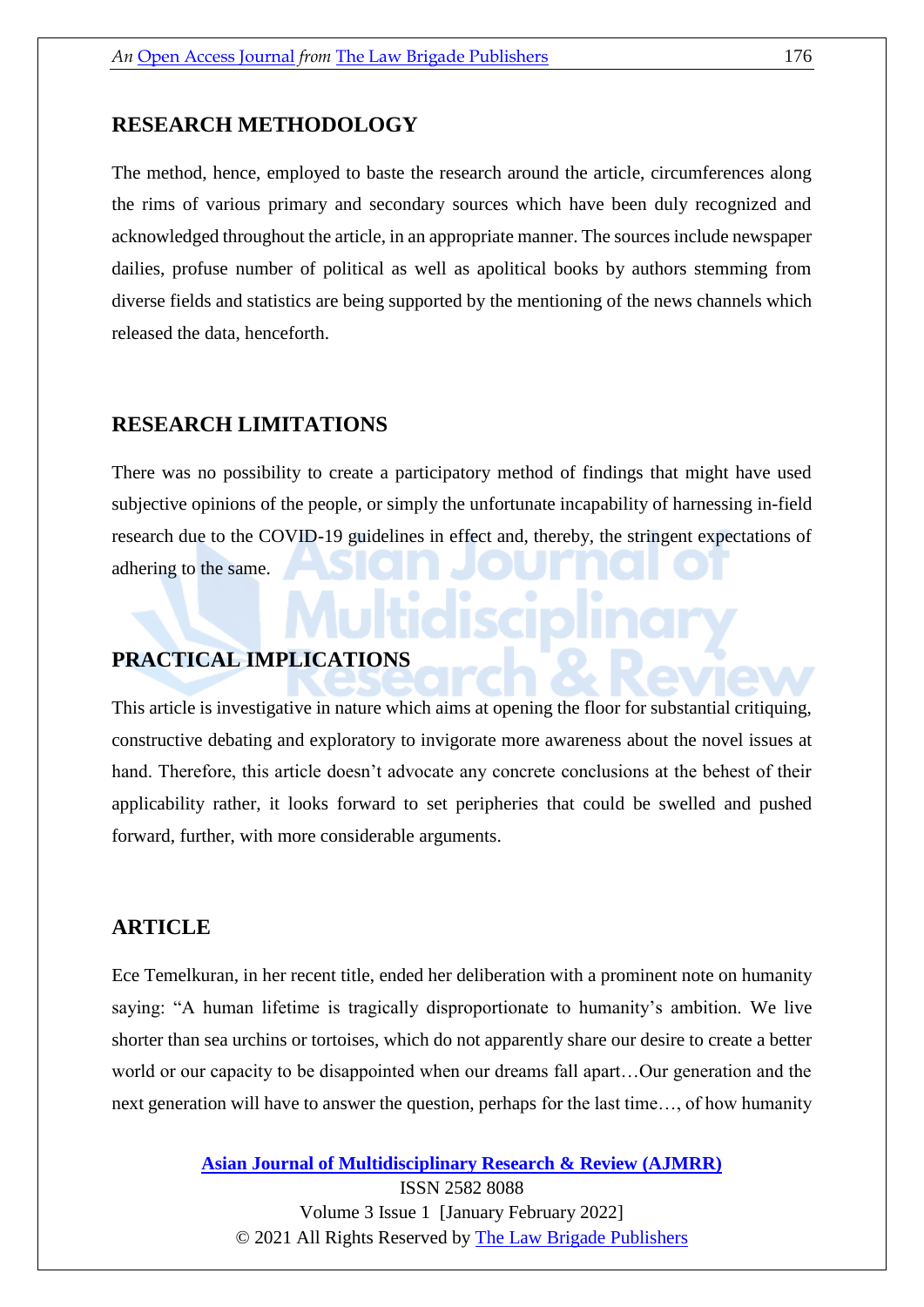#### **RESEARCH METHODOLOGY**

The method, hence, employed to baste the research around the article, circumferences along the rims of various primary and secondary sources which have been duly recognized and acknowledged throughout the article, in an appropriate manner. The sources include newspaper dailies, profuse number of political as well as apolitical books by authors stemming from diverse fields and statistics are being supported by the mentioning of the news channels which released the data, henceforth.

# **RESEARCH LIMITATIONS**

There was no possibility to create a participatory method of findings that might have used subjective opinions of the people, or simply the unfortunate incapability of harnessing in-field research due to the COVID-19 guidelines in effect and, thereby, the stringent expectations of adhering to the same.

### **PRACTICAL IMPLICATIONS**

This article is investigative in nature which aims at opening the floor for substantial critiquing, constructive debating and exploratory to invigorate more awareness about the novel issues at hand. Therefore, this article doesn't advocate any concrete conclusions at the behest of their applicability rather, it looks forward to set peripheries that could be swelled and pushed forward, further, with more considerable arguments.

# **ARTICLE**

Ece Temelkuran, in her recent title, ended her deliberation with a prominent note on humanity saying: "A human lifetime is tragically disproportionate to humanity's ambition. We live shorter than sea urchins or tortoises, which do not apparently share our desire to create a better world or our capacity to be disappointed when our dreams fall apart…Our generation and the next generation will have to answer the question, perhaps for the last time…, of how humanity

**[Asian Journal of Multidisciplinary Research & Review \(AJMRR\)](https://thelawbrigade.com/ajmrr/)**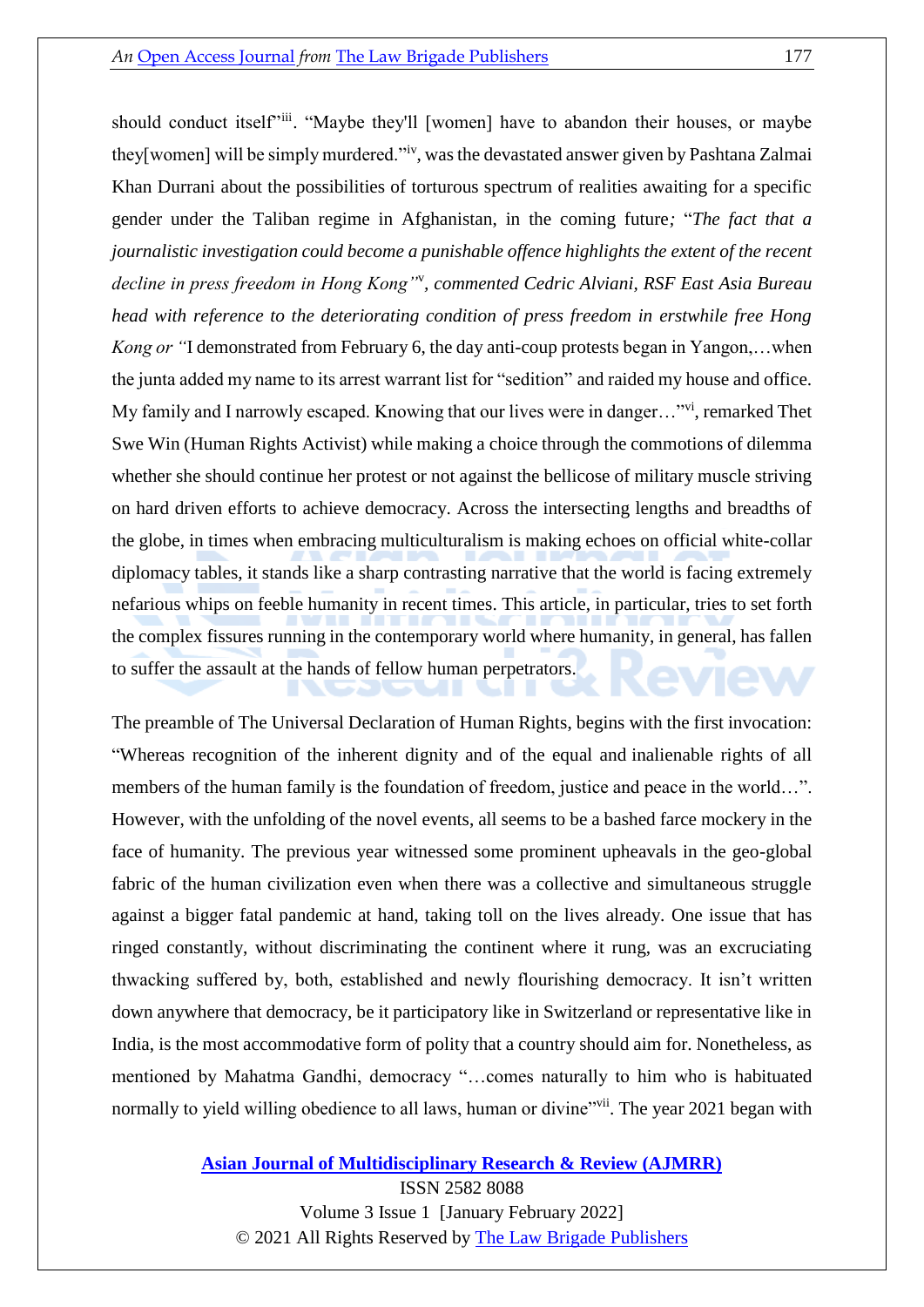should conduct itself"iii. "Maybe they'll [women] have to abandon their houses, or maybe they[women] will be simply murdered."<sup>iv</sup>, was the devastated answer given by Pashtana Zalmai Khan Durrani about the possibilities of torturous spectrum of realities awaiting for a specific gender under the Taliban regime in Afghanistan, in the coming future*;* "*The fact that a journalistic investigation could become a punishable offence highlights the extent of the recent decline in press freedom in Hong Kong"*<sup>v</sup> *, commented Cedric Alviani, RSF East Asia Bureau head with reference to the deteriorating condition of press freedom in erstwhile free Hong Kong or "*I demonstrated from February 6, the day anti-coup protests began in Yangon,…when the junta added my name to its arrest warrant list for "sedition" and raided my house and office. My family and I narrowly escaped. Knowing that our lives were in danger..."<sup>vi</sup>, remarked Thet Swe Win (Human Rights Activist) while making a choice through the commotions of dilemma whether she should continue her protest or not against the bellicose of military muscle striving on hard driven efforts to achieve democracy. Across the intersecting lengths and breadths of the globe, in times when embracing multiculturalism is making echoes on official white-collar diplomacy tables, it stands like a sharp contrasting narrative that the world is facing extremely nefarious whips on feeble humanity in recent times. This article, in particular, tries to set forth the complex fissures running in the contemporary world where humanity, in general, has fallen to suffer the assault at the hands of fellow human perpetrators.

The preamble of The Universal Declaration of Human Rights, begins with the first invocation: "Whereas recognition of the inherent dignity and of the equal and inalienable rights of all members of the human family is the foundation of freedom, justice and peace in the world…". However, with the unfolding of the novel events, all seems to be a bashed farce mockery in the face of humanity. The previous year witnessed some prominent upheavals in the geo-global fabric of the human civilization even when there was a collective and simultaneous struggle against a bigger fatal pandemic at hand, taking toll on the lives already. One issue that has ringed constantly, without discriminating the continent where it rung, was an excruciating thwacking suffered by, both, established and newly flourishing democracy. It isn't written down anywhere that democracy, be it participatory like in Switzerland or representative like in India, is the most accommodative form of polity that a country should aim for. Nonetheless, as mentioned by Mahatma Gandhi, democracy "…comes naturally to him who is habituated normally to yield willing obedience to all laws, human or divine"vii. The year 2021 began with

#### **[Asian Journal of Multidisciplinary Research & Review \(AJMRR\)](https://thelawbrigade.com/ajmrr/)**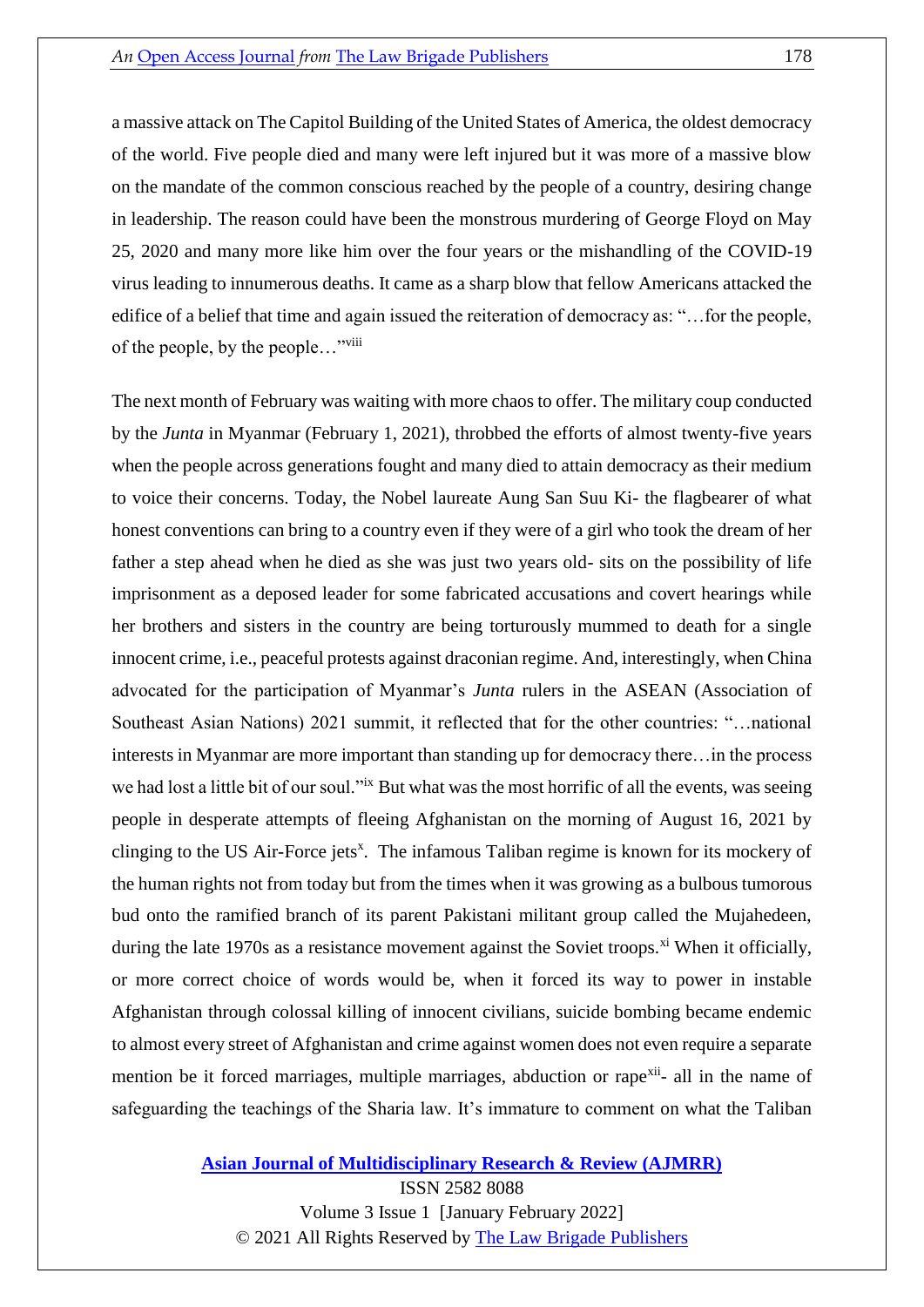a massive attack on The Capitol Building of the United States of America, the oldest democracy of the world. Five people died and many were left injured but it was more of a massive blow on the mandate of the common conscious reached by the people of a country, desiring change in leadership. The reason could have been the monstrous murdering of George Floyd on May 25, 2020 and many more like him over the four years or the mishandling of the COVID-19 virus leading to innumerous deaths. It came as a sharp blow that fellow Americans attacked the edifice of a belief that time and again issued the reiteration of democracy as: "…for the people, of the people, by the people…"viii

The next month of February was waiting with more chaos to offer. The military coup conducted by the *Junta* in Myanmar (February 1, 2021), throbbed the efforts of almost twenty-five years when the people across generations fought and many died to attain democracy as their medium to voice their concerns. Today, the Nobel laureate Aung San Suu Ki- the flagbearer of what honest conventions can bring to a country even if they were of a girl who took the dream of her father a step ahead when he died as she was just two years old- sits on the possibility of life imprisonment as a deposed leader for some fabricated accusations and covert hearings while her brothers and sisters in the country are being torturously mummed to death for a single innocent crime, i.e., peaceful protests against draconian regime. And, interestingly, when China advocated for the participation of Myanmar's *Junta* rulers in the ASEAN (Association of Southeast Asian Nations) 2021 summit, it reflected that for the other countries: "…national interests in Myanmar are more important than standing up for democracy there…in the process we had lost a little bit of our soul."<sup>ix</sup> But what was the most horrific of all the events, was seeing people in desperate attempts of fleeing Afghanistan on the morning of August 16, 2021 by clinging to the US Air-Force jets<sup>x</sup>. The infamous Taliban regime is known for its mockery of the human rights not from today but from the times when it was growing as a bulbous tumorous bud onto the ramified branch of its parent Pakistani militant group called the Mujahedeen, during the late 1970s as a resistance movement against the Soviet troops.<sup>xi</sup> When it officially, or more correct choice of words would be, when it forced its way to power in instable Afghanistan through colossal killing of innocent civilians, suicide bombing became endemic to almost every street of Afghanistan and crime against women does not even require a separate mention be it forced marriages, multiple marriages, abduction or rape<sup>xii</sup>- all in the name of safeguarding the teachings of the Sharia law. It's immature to comment on what the Taliban

**[Asian Journal of Multidisciplinary Research & Review \(AJMRR\)](https://thelawbrigade.com/ajmrr/)**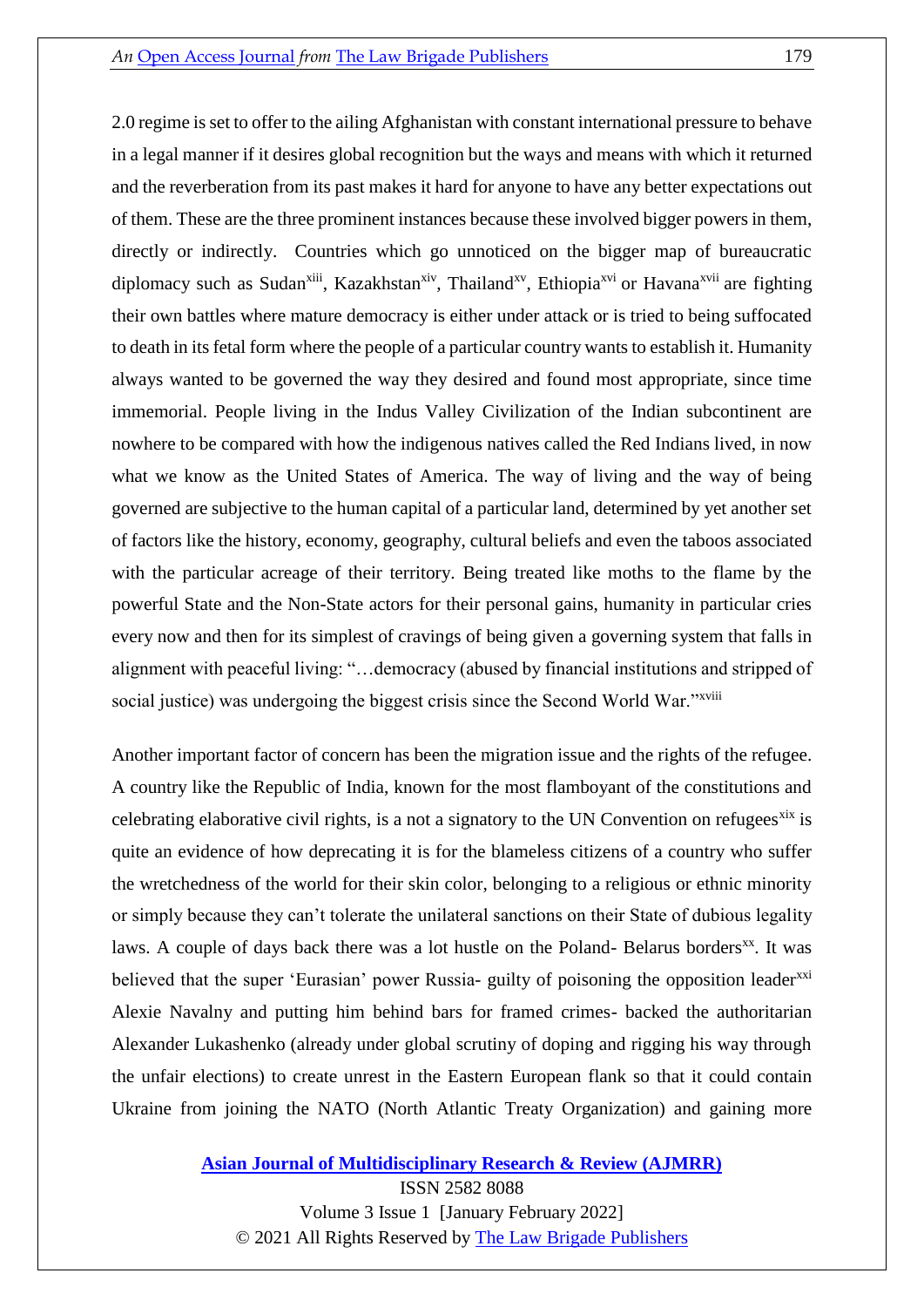2.0 regime is set to offer to the ailing Afghanistan with constant international pressure to behave in a legal manner if it desires global recognition but the ways and means with which it returned and the reverberation from its past makes it hard for anyone to have any better expectations out of them. These are the three prominent instances because these involved bigger powers in them, directly or indirectly. Countries which go unnoticed on the bigger map of bureaucratic diplomacy such as Sudan<sup>xiii</sup>, Kazakhstan<sup>xiv</sup>, Thailand<sup>xv</sup>, Ethiopia<sup>xvi</sup> or Havana<sup>xvii</sup> are fighting their own battles where mature democracy is either under attack or is tried to being suffocated to death in its fetal form where the people of a particular country wants to establish it. Humanity always wanted to be governed the way they desired and found most appropriate, since time immemorial. People living in the Indus Valley Civilization of the Indian subcontinent are nowhere to be compared with how the indigenous natives called the Red Indians lived, in now what we know as the United States of America. The way of living and the way of being governed are subjective to the human capital of a particular land, determined by yet another set of factors like the history, economy, geography, cultural beliefs and even the taboos associated with the particular acreage of their territory. Being treated like moths to the flame by the powerful State and the Non-State actors for their personal gains, humanity in particular cries every now and then for its simplest of cravings of being given a governing system that falls in alignment with peaceful living: "…democracy (abused by financial institutions and stripped of social justice) was undergoing the biggest crisis since the Second World War."*xviii* 

Another important factor of concern has been the migration issue and the rights of the refugee. A country like the Republic of India, known for the most flamboyant of the constitutions and celebrating elaborative civil rights, is a not a signatory to the UN Convention on refugees<sup>xix</sup> is quite an evidence of how deprecating it is for the blameless citizens of a country who suffer the wretchedness of the world for their skin color, belonging to a religious or ethnic minority or simply because they can't tolerate the unilateral sanctions on their State of dubious legality laws. A couple of days back there was a lot hustle on the Poland- Belarus borders<sup>xx</sup>. It was believed that the super 'Eurasian' power Russia- guilty of poisoning the opposition leader<sup>xxi</sup> Alexie Navalny and putting him behind bars for framed crimes- backed the authoritarian Alexander Lukashenko (already under global scrutiny of doping and rigging his way through the unfair elections) to create unrest in the Eastern European flank so that it could contain Ukraine from joining the NATO (North Atlantic Treaty Organization) and gaining more

**[Asian Journal of Multidisciplinary Research & Review \(AJMRR\)](https://thelawbrigade.com/ajmrr/)**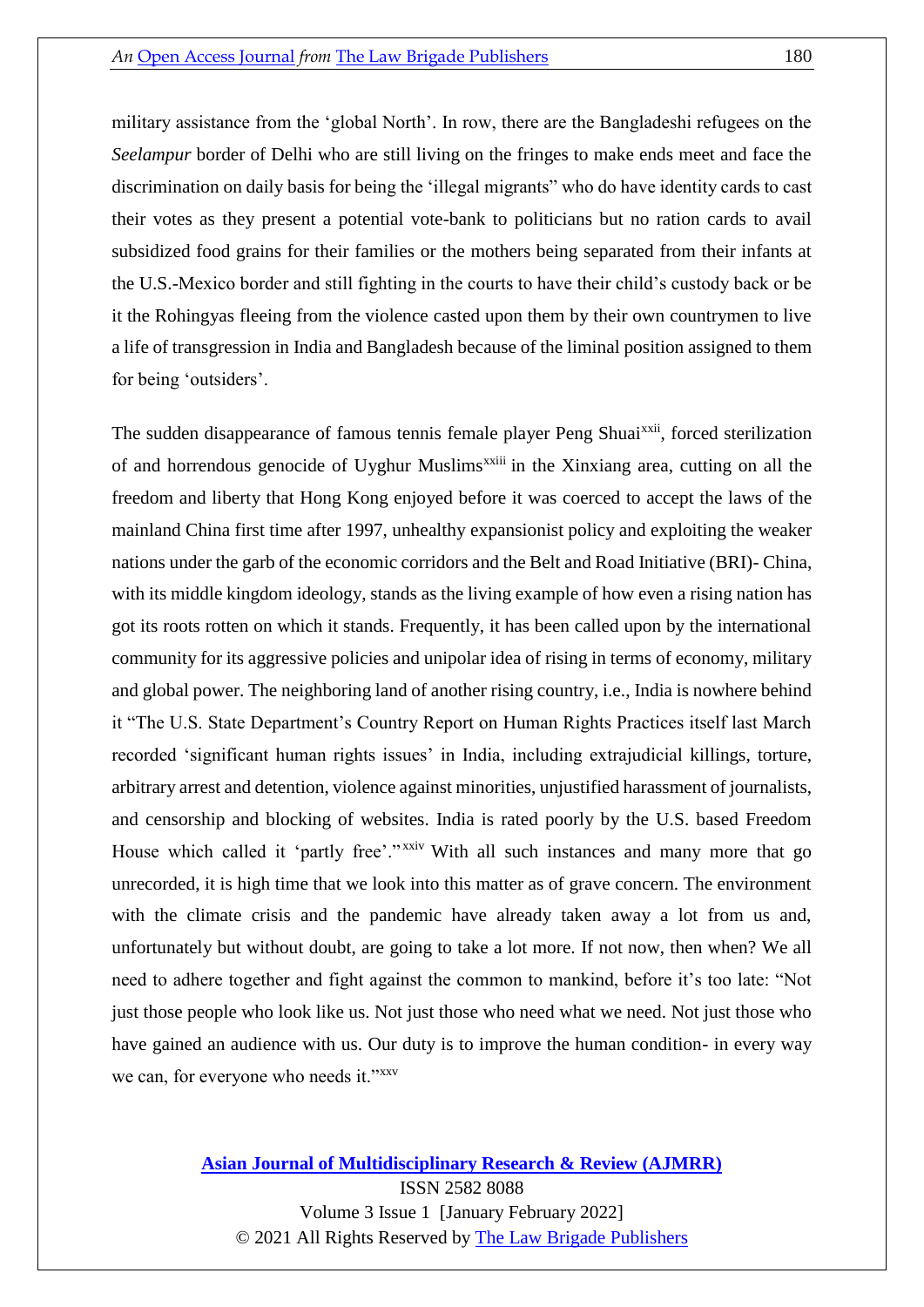military assistance from the 'global North'. In row, there are the Bangladeshi refugees on the *Seelampur* border of Delhi who are still living on the fringes to make ends meet and face the discrimination on daily basis for being the 'illegal migrants" who do have identity cards to cast their votes as they present a potential vote-bank to politicians but no ration cards to avail subsidized food grains for their families or the mothers being separated from their infants at the U.S.-Mexico border and still fighting in the courts to have their child's custody back or be it the Rohingyas fleeing from the violence casted upon them by their own countrymen to live a life of transgression in India and Bangladesh because of the liminal position assigned to them for being 'outsiders'.

The sudden disappearance of famous tennis female player Peng Shuai<sup>xxii</sup>, forced sterilization of and horrendous genocide of Uyghur Muslims<sup>xxiii</sup> in the Xinxiang area, cutting on all the freedom and liberty that Hong Kong enjoyed before it was coerced to accept the laws of the mainland China first time after 1997, unhealthy expansionist policy and exploiting the weaker nations under the garb of the economic corridors and the Belt and Road Initiative (BRI)- China, with its middle kingdom ideology, stands as the living example of how even a rising nation has got its roots rotten on which it stands. Frequently, it has been called upon by the international community for its aggressive policies and unipolar idea of rising in terms of economy, military and global power. The neighboring land of another rising country, i.e., India is nowhere behind it "The U.S. State Department's Country Report on Human Rights Practices itself last March recorded 'significant human rights issues' in India, including extrajudicial killings, torture, arbitrary arrest and detention, violence against minorities, unjustified harassment of journalists, and censorship and blocking of websites. India is rated poorly by the U.S. based Freedom House which called it 'partly free'." XXIV With all such instances and many more that go unrecorded, it is high time that we look into this matter as of grave concern. The environment with the climate crisis and the pandemic have already taken away a lot from us and, unfortunately but without doubt, are going to take a lot more. If not now, then when? We all need to adhere together and fight against the common to mankind, before it's too late: "Not just those people who look like us. Not just those who need what we need. Not just those who have gained an audience with us. Our duty is to improve the human condition- in every way we can, for everyone who needs it."xxv

#### **[Asian Journal of Multidisciplinary Research & Review \(AJMRR\)](https://thelawbrigade.com/ajmrr/)** ISSN 2582 8088